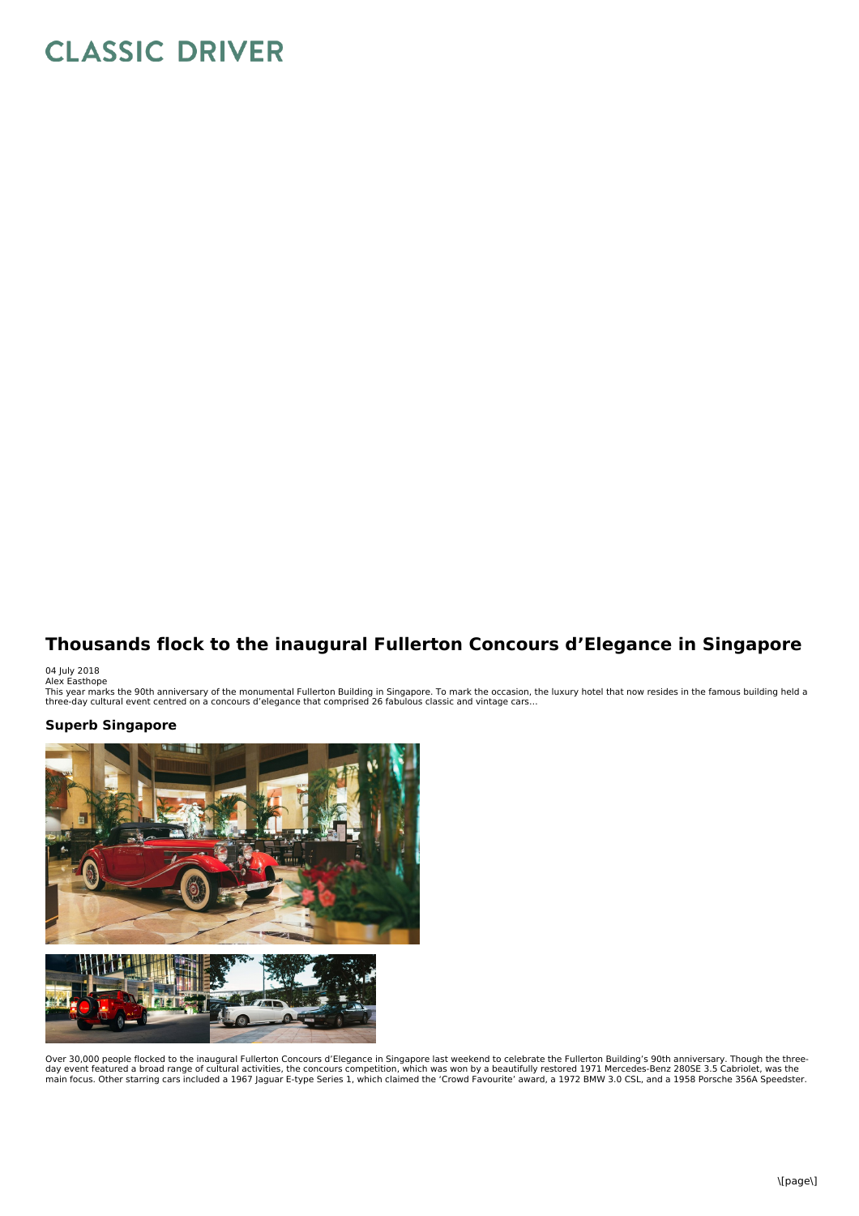## **CLASSIC DRIVER**

## **Thousands flock to the inaugural Fullerton Concours d'Elegance in Singapore**

04 July 2018<br>Alex Easthope

This year marks the 90th anniversary of the monumental Fullerton Building in Singapore. To mark the occasion, the luxury hotel that now resides in the famous building held a<br>three-day cultural event centred on a concours d

## **Superb Singapore**



Over 30,000 people flocked to the inaugural Fullerton Concours d'Elegance in Singapore last weekend to celebrate the Fullerton Building's 90th anniversary. Though the three-<br>day event featured a broad range of cultural act